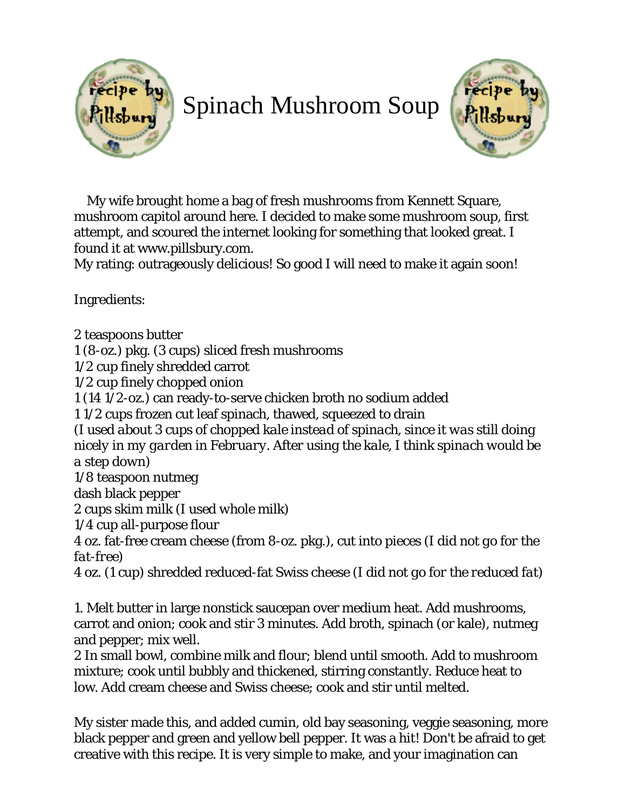

## Spinach Mushroom Soup



 My wife brought home a bag of fresh mushrooms from Kennett Square, mushroom capitol around here. I decided to make some mushroom soup, first attempt, and scoured the internet looking for something that looked great. I found it at www.pillsbury.com.

My rating: outrageously delicious! So good I will need to make it again soon!

Ingredients:

2 teaspoons butter

1 (8-oz.) pkg. (3 cups) sliced fresh mushrooms

1/2 cup finely shredded carrot

1/2 cup finely chopped onion

1 (14 1/2-oz.) can ready-to-serve chicken broth no sodium added

1 1/2 cups frozen cut leaf spinach, thawed, squeezed to drain

*(I used about 3 cups of chopped kale instead of spinach, since it was still doing nicely in my garden in February. After using the kale, I think spinach would be a step down)*

1/8 teaspoon nutmeg

dash black pepper

2 cups skim milk *(I used whole milk)*

1/4 cup all-purpose flour

4 oz. fat-free cream cheese (from 8-oz. pkg.), cut into pieces *(I did not go for the fat-free)*

4 oz. (1 cup) shredded reduced-fat Swiss cheese *(I did not go for the reduced fat)* 

1. Melt butter in large nonstick saucepan over medium heat. Add mushrooms, carrot and onion; cook and stir 3 minutes. Add broth, spinach (or kale), nutmeg and pepper; mix well.

2 In small bowl, combine milk and flour; blend until smooth. Add to mushroom mixture; cook until bubbly and thickened, stirring constantly. Reduce heat to low. Add cream cheese and Swiss cheese; cook and stir until melted.

My sister made this, and added cumin, old bay seasoning, veggie seasoning, more black pepper and green and yellow bell pepper. It was a hit! Don't be afraid to get creative with this recipe. It is very simple to make, and your imagination can